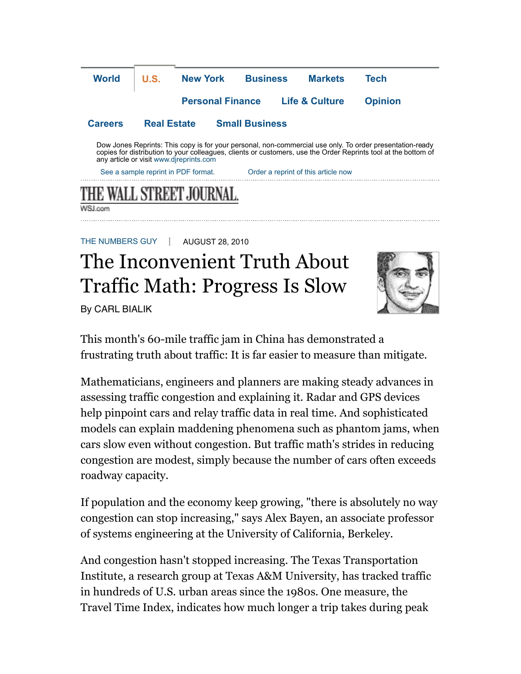

## The Inconvenient Truth About Traffic Math: Progress Is Slow

By CARL BIALIK



This month's 60-mile traffic jam in China has demonstrated a frustrating truth about traffic: It is far easier to measure than mitigate.

Mathematicians, engineers and planners are making steady advances in assessing traffic congestion and explaining it. Radar and GPS devices help pinpoint cars and relay traffic data in real time. And sophisticated models can explain maddening phenomena such as phantom jams, when cars slow even without congestion. But traffic math's strides in reducing congestion are modest, simply because the number of cars often exceeds roadway capacity.

If population and the economy keep growing, "there is absolutely no way congestion can stop increasing," says Alex Bayen, an associate professor of systems engineering at the University of California, Berkeley.

And congestion hasn't stopped increasing. The Texas Transportation Institute, a research group at Texas A&M University, has tracked traffic in hundreds of U.S. urban areas since the 1980s. One measure, the Travel Time Index, indicates how much longer a trip takes during peak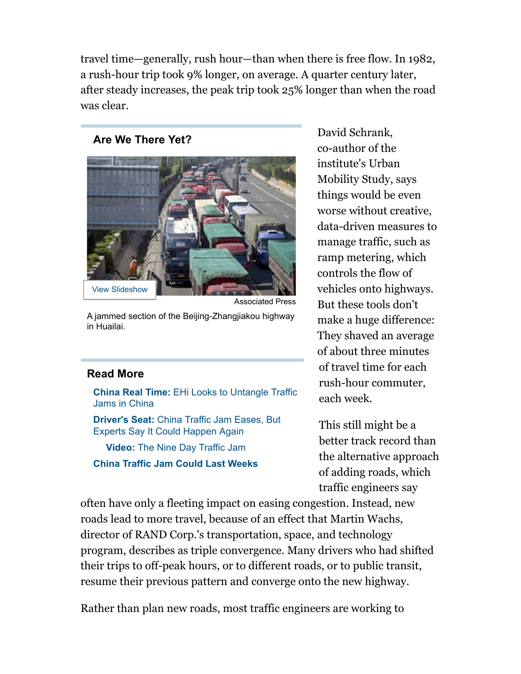travel time—generally, rush hour—than when there is free flow. In 1982, a rush-hour trip took 9% longer, on average. A quarter century later, after steady increases, the peak trip took 25% longer than when the road was clear.

## **Are We There Yet?**



A jammed section of the Beijing-Zhangjiakou highway in Huailai.

## **Read More**

**China Real Time:** EHi Looks to Untangle Traffic Jams in China

**Driver's Seat:** China Traffic Jam Eases, But Experts Say It Could Happen Again

**Video:** The Nine Day Traffic Jam **China Traffic Jam Could Last Weeks** David Schrank, co-author of the institute's Urban Mobility Study, says things would be even worse without creative, data-driven measures to manage traffic, such as ramp metering, which controls the flow of vehicles onto highways. But these tools don't make a huge difference: They shaved an average of about three minutes of travel time for each rush-hour commuter, each week.

This still might be a better track record than the alternative approach of adding roads, which traffic engineers say

often have only a fleeting impact on easing congestion. Instead, new roads lead to more travel, because of an effect that Martin Wachs, director of RAND Corp.'s transportation, space, and technology program, describes as triple convergence. Many drivers who had shifted their trips to off-peak hours, or to different roads, or to public transit, resume their previous pattern and converge onto the new highway.

Rather than plan new roads, most traffic engineers are working to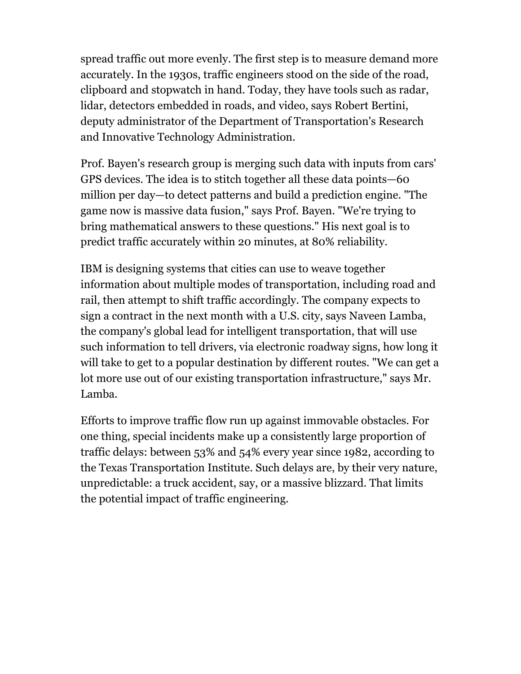spread traffic out more evenly. The first step is to measure demand more accurately. In the 1930s, traffic engineers stood on the side of the road, clipboard and stopwatch in hand. Today, they have tools such as radar, lidar, detectors embedded in roads, and video, says Robert Bertini, deputy administrator of the Department of Transportation's Research and Innovative Technology Administration.

Prof. Bayen's research group is merging such data with inputs from cars' GPS devices. The idea is to stitch together all these data points—60 million per day—to detect patterns and build a prediction engine. "The game now is massive data fusion," says Prof. Bayen. "We're trying to bring mathematical answers to these questions." His next goal is to predict traffic accurately within 20 minutes, at 80% reliability.

IBM is designing systems that cities can use to weave together information about multiple modes of transportation, including road and rail, then attempt to shift traffic accordingly. The company expects to sign a contract in the next month with a U.S. city, says Naveen Lamba, the company's global lead for intelligent transportation, that will use such information to tell drivers, via electronic roadway signs, how long it will take to get to a popular destination by different routes. "We can get a lot more use out of our existing transportation infrastructure," says Mr. Lamba.

Efforts to improve traffic flow run up against immovable obstacles. For one thing, special incidents make up a consistently large proportion of traffic delays: between 53% and 54% every year since 1982, according to the Texas Transportation Institute. Such delays are, by their very nature, unpredictable: a truck accident, say, or a massive blizzard. That limits the potential impact of traffic engineering.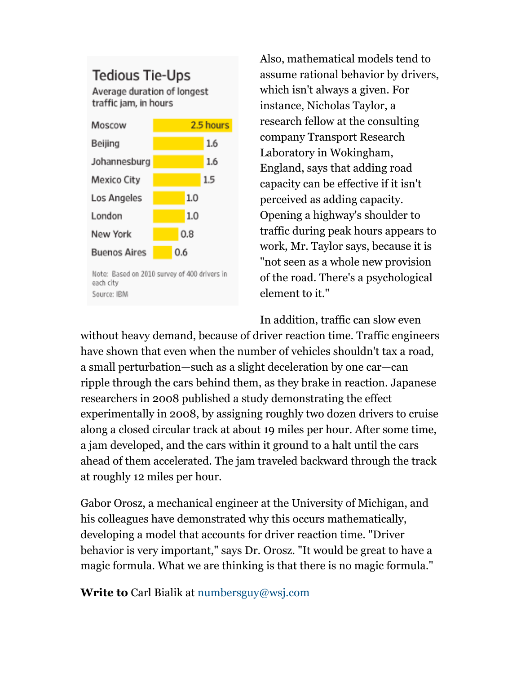## **Tedious Tie-Ups**

Average duration of longest traffic jam, in hours



each city Source: IBM

Also, mathematical models tend to assume rational behavior by drivers, which isn't always a given. For instance, Nicholas Taylor, a research fellow at the consulting company Transport Research Laboratory in Wokingham, England, says that adding road capacity can be effective if it isn't perceived as adding capacity. Opening a highway's shoulder to traffic during peak hours appears to work, Mr. Taylor says, because it is "not seen as a whole new provision of the road. There's a psychological element to it."

In addition, traffic can slow even without heavy demand, because of driver reaction time. Traffic engineers have shown that even when the number of vehicles shouldn't tax a road, a small perturbation—such as a slight deceleration by one car—can ripple through the cars behind them, as they brake in reaction. Japanese researchers in 2008 published a study demonstrating the effect experimentally in 2008, by assigning roughly two dozen drivers to cruise along a closed circular track at about 19 miles per hour. After some time, a jam developed, and the cars within it ground to a halt until the cars ahead of them accelerated. The jam traveled backward through the track at roughly 12 miles per hour.

Gabor Orosz, a mechanical engineer at the University of Michigan, and his colleagues have demonstrated why this occurs mathematically, developing a model that accounts for driver reaction time. "Driver behavior is very important," says Dr. Orosz. "It would be great to have a magic formula. What we are thinking is that there is no magic formula."

**Write to** Carl Bialik at numbersguy@wsj.com